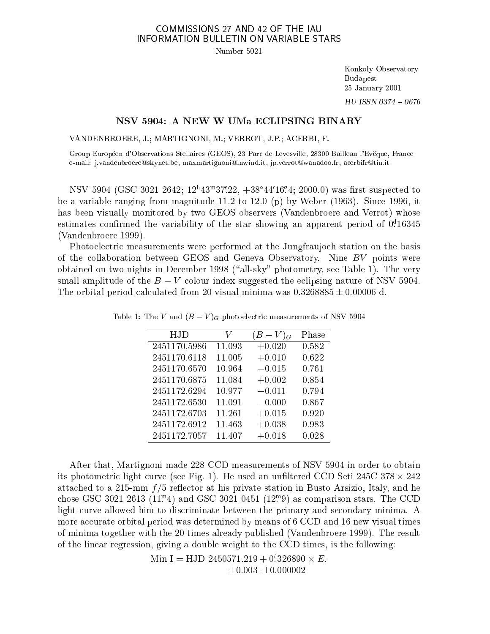## COMMISSIONS 27 AND 42 OF THE IAU INFORMATION BULLETIN ON VARIABLE STARS

Number 5021

Konkoly Observatory Budapest 25 January 2001  $HU$  ISSN 0374 - 0676

## NSV 5904: A NEW W UMa ECLIPSING BINARY

VANDENBROERE, J.; MARTIGNONI, M.; VERROT, J.P.; ACERBI, F.

Group Européen d'Observations Stellaires (GEOS), 23 Parc de Levesville, 28300 Bailleau l'Evëque, France e-mail: j.vandenbroereskynet.be, maxmartignoniinwind.it, jp.verrotwanadoo.fr, a
erbifrtin.it

NSV 3904 (GSC 3021 2042; 12"45""37".22, +38 44 10.4; 2000.0) was lifst suspected to be a variable ranging from magnitude 11.2 to 12.0 (p) by Weber (1963). Sin
e 1996, it has been visually monitored by two GEOS observers (Vandenbroere and Verrot) whose estimates confirmed the variability of the star showing an apparent period of 0:16345 (Vandenbroere 1999).

Photoele
tri measurements were performed at the Jungfraujo
h station on the basis of the ollaboration between GEOS and Geneva Observatory. Nine BV points were obtained on two nights in December 1998 ("all-sky" photometry, see Table 1). The very small amplitude of the  $B-V$  colour index suggested the eclipsing nature of NSV 5904. The orbital period calculated from 20 visual minima was  $0.3268885 \pm 0.00006$  d.

| HJD          | V      | $V _G$   | Phase |
|--------------|--------|----------|-------|
| 2451170.5986 | 11.093 | $+0.020$ | 0.582 |
| 2451170.6118 | 11.005 | $+0.010$ | 0.622 |
| 2451170.6570 | 10.964 | $-0.015$ | 0.761 |
| 2451170.6875 | 11.084 | $+0.002$ | 0.854 |
| 2451172.6294 | 10.977 | $-0.011$ | 0.794 |
| 2451172.6530 | 11.091 | $-0.000$ | 0.867 |
| 2451172.6703 | 11.261 | $+0.015$ | 0.920 |
| 2451172.6912 | 11.463 | $+0.038$ | 0.983 |
| 2451172.7057 | 11.407 | $+0.018$ | 0.028 |

Table 1: The V and  $(B-V)<sub>G</sub>$  photoelectric measurements of NSV 5904

After that, Martignoni made 228 CCD measurements of NSV 5904 in order to obtain its photometri light urve (see Fig. 1). He used an unltered CCD Seti 245C 378 - 242 attached to a 215-mm  $f/5$  reflector at his private station in Busto Arsizio, Italy, and he chose GSC 3021 2013 (11.4) and GSC 3021 0431 (12.9) as comparison stars. The CCD light curve allowed him to discriminate between the primary and secondary minima. A more accurate orbital period was determined by means of 6 CCD and 16 new visual times of minima together with the 20 times already published (Vandenbroere 1999). The result of the linear regression, giving a double weight to the CCD times, is the following:

> $\text{min}$  1 =  $\text{min}$  2450571.219 + 0.520890 × E.  $\pm 0.003 \pm 0.000002$